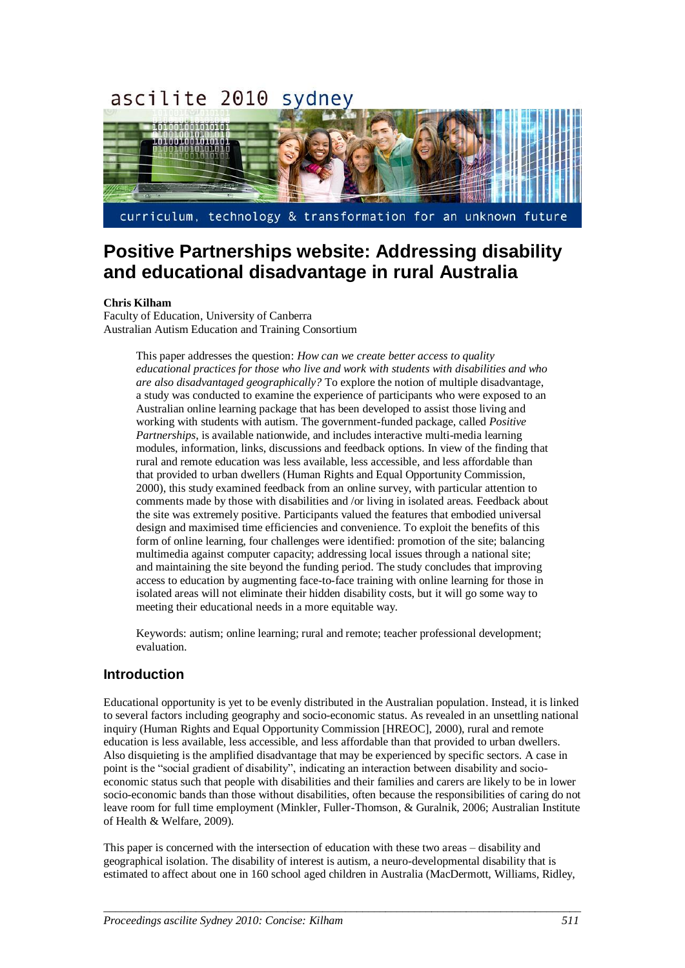#### ascilite 2010 sydney



curriculum, technology & transformation for an unknown future

# **Positive Partnerships website: Addressing disability and educational disadvantage in rural Australia**

#### **Chris Kilham**

Faculty of Education, University of Canberra Australian Autism Education and Training Consortium

> This paper addresses the question: *How can we create better access to quality educational practices for those who live and work with students with disabilities and who are also disadvantaged geographically?* To explore the notion of multiple disadvantage, a study was conducted to examine the experience of participants who were exposed to an Australian online learning package that has been developed to assist those living and working with students with autism. The government-funded package, called *Positive Partnerships*, is available nationwide, and includes interactive multi-media learning modules, information, links, discussions and feedback options. In view of the finding that rural and remote education was less available, less accessible, and less affordable than that provided to urban dwellers (Human Rights and Equal Opportunity Commission, 2000), this study examined feedback from an online survey, with particular attention to comments made by those with disabilities and /or living in isolated areas. Feedback about the site was extremely positive. Participants valued the features that embodied universal design and maximised time efficiencies and convenience. To exploit the benefits of this form of online learning, four challenges were identified: promotion of the site; balancing multimedia against computer capacity; addressing local issues through a national site; and maintaining the site beyond the funding period. The study concludes that improving access to education by augmenting face-to-face training with online learning for those in isolated areas will not eliminate their hidden disability costs, but it will go some way to meeting their educational needs in a more equitable way.

Keywords: autism; online learning; rural and remote; teacher professional development; evaluation.

## **Introduction**

Educational opportunity is yet to be evenly distributed in the Australian population. Instead, it is linked to several factors including geography and socio-economic status. As revealed in an unsettling national inquiry (Human Rights and Equal Opportunity Commission [HREOC], 2000), rural and remote education is less available, less accessible, and less affordable than that provided to urban dwellers. Also disquieting is the amplified disadvantage that may be experienced by specific sectors. A case in point is the "social gradient of disability", indicating an interaction between disability and socioeconomic status such that people with disabilities and their families and carers are likely to be in lower socio-economic bands than those without disabilities, often because the responsibilities of caring do not leave room for full time employment (Minkler, Fuller-Thomson, & Guralnik, 2006; Australian Institute of Health & Welfare, 2009).

This paper is concerned with the intersection of education with these two areas – disability and geographical isolation. The disability of interest is autism, a neuro-developmental disability that is estimated to affect about one in 160 school aged children in Australia (MacDermott, Williams, Ridley,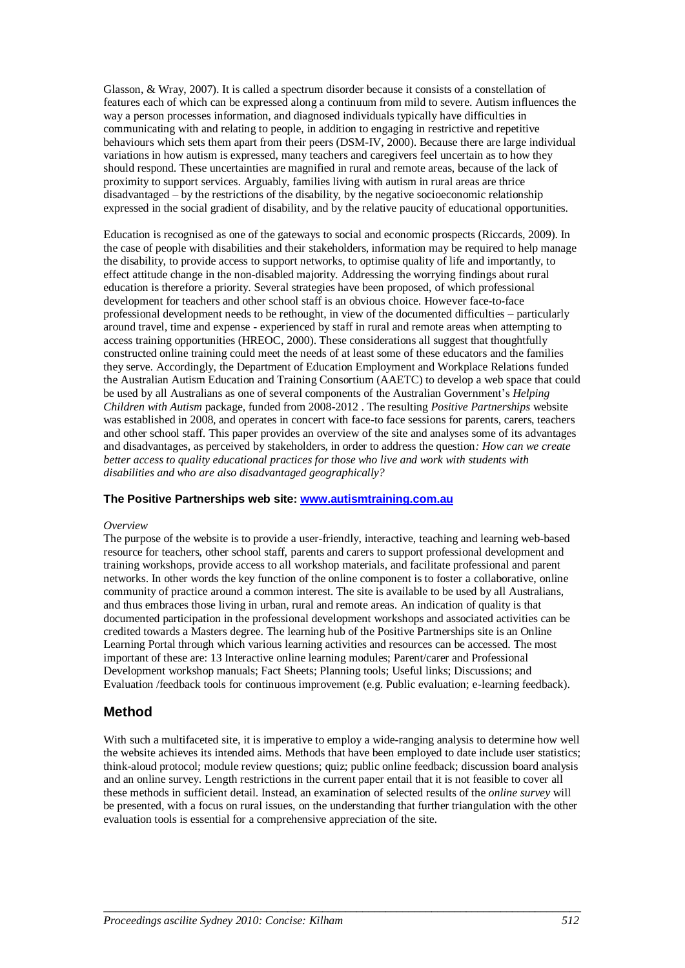Glasson, & Wray, 2007). It is called a spectrum disorder because it consists of a constellation of features each of which can be expressed along a continuum from mild to severe. Autism influences the way a person processes information, and diagnosed individuals typically have difficulties in communicating with and relating to people, in addition to engaging in restrictive and repetitive behaviours which sets them apart from their peers (DSM-IV, 2000). Because there are large individual variations in how autism is expressed, many teachers and caregivers feel uncertain as to how they should respond. These uncertainties are magnified in rural and remote areas, because of the lack of proximity to support services. Arguably, families living with autism in rural areas are thrice disadvantaged – by the restrictions of the disability, by the negative socioeconomic relationship expressed in the social gradient of disability, and by the relative paucity of educational opportunities.

Education is recognised as one of the gateways to social and economic prospects (Riccards, 2009). In the case of people with disabilities and their stakeholders, information may be required to help manage the disability, to provide access to support networks, to optimise quality of life and importantly, to effect attitude change in the non-disabled majority. Addressing the worrying findings about rural education is therefore a priority. Several strategies have been proposed, of which professional development for teachers and other school staff is an obvious choice. However face-to-face professional development needs to be rethought, in view of the documented difficulties – particularly around travel, time and expense - experienced by staff in rural and remote areas when attempting to access training opportunities (HREOC, 2000). These considerations all suggest that thoughtfully constructed online training could meet the needs of at least some of these educators and the families they serve. Accordingly, the Department of Education Employment and Workplace Relations funded the Australian Autism Education and Training Consortium (AAETC) to develop a web space that could be used by all Australians as one of several components of the Australian Government's *Helping Children with Autism* package, funded from 2008-2012 . The resulting *Positive Partnerships* website was established in 2008, and operates in concert with face-to face sessions for parents, carers, teachers and other school staff. This paper provides an overview of the site and analyses some of its advantages and disadvantages, as perceived by stakeholders, in order to address the question*: How can we create better access to quality educational practices for those who live and work with students with disabilities and who are also disadvantaged geographically?*

#### **The Positive Partnerships web site: [www.autismtraining.com.au](http://www.autismtraining.com.au/)**

#### *Overview*

The purpose of the website is to provide a user-friendly, interactive, teaching and learning web-based resource for teachers, other school staff, parents and carers to support professional development and training workshops, provide access to all workshop materials, and facilitate professional and parent networks. In other words the key function of the online component is to foster a collaborative, online community of practice around a common interest. The site is available to be used by all Australians, and thus embraces those living in urban, rural and remote areas. An indication of quality is that documented participation in the professional development workshops and associated activities can be credited towards a Masters degree. The learning hub of the Positive Partnerships site is an Online Learning Portal through which various learning activities and resources can be accessed. The most important of these are: 13 Interactive online learning modules; Parent/carer and Professional Development workshop manuals; Fact Sheets; Planning tools; Useful links; Discussions; and Evaluation /feedback tools for continuous improvement (e.g. Public evaluation; e-learning feedback).

## **Method**

With such a multifaceted site, it is imperative to employ a wide-ranging analysis to determine how well the website achieves its intended aims. Methods that have been employed to date include user statistics; think-aloud protocol; module review questions; quiz; public online feedback; discussion board analysis and an online survey. Length restrictions in the current paper entail that it is not feasible to cover all these methods in sufficient detail. Instead, an examination of selected results of the *online survey* will be presented, with a focus on rural issues, on the understanding that further triangulation with the other evaluation tools is essential for a comprehensive appreciation of the site.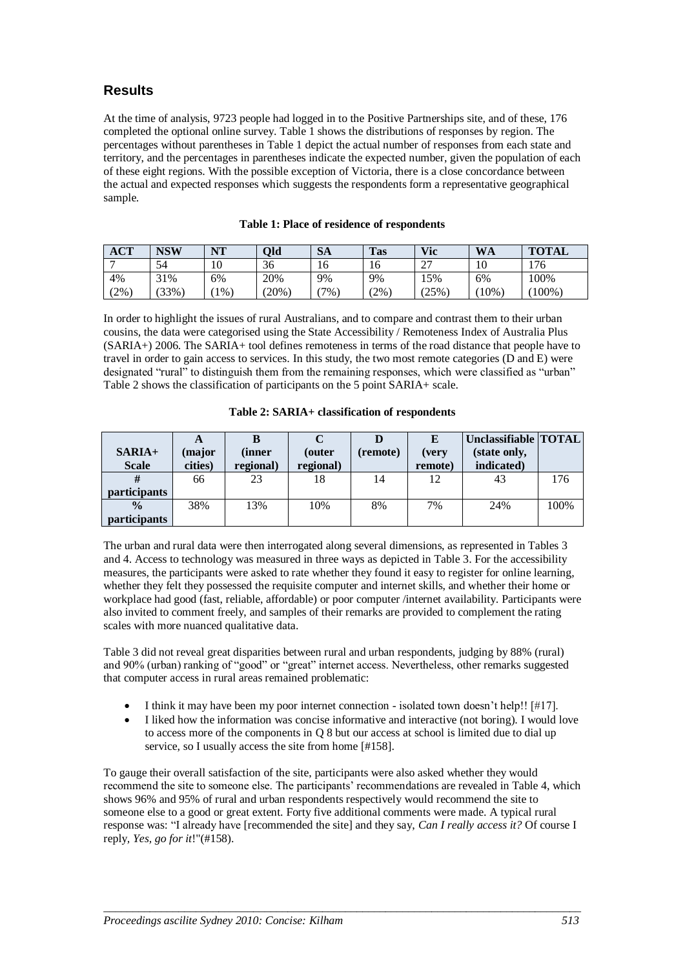## **Results**

At the time of analysis, 9723 people had logged in to the Positive Partnerships site, and of these, 176 completed the optional online survey. Table 1 shows the distributions of responses by region. The percentages without parentheses in Table 1 depict the actual number of responses from each state and territory, and the percentages in parentheses indicate the expected number, given the population of each of these eight regions. With the possible exception of Victoria, there is a close concordance between the actual and expected responses which suggests the respondents form a representative geographical sample.

| <b>ACT</b> | NSW      | NT               | Old      | SA    | <b>Tas</b> | Vic                    | <b>WA</b> | <b>TOTAL</b> |
|------------|----------|------------------|----------|-------|------------|------------------------|-----------|--------------|
|            | 54       | $10^{-1}$<br>10. | 36       | 16    | 16         | $\sim$<br><u>، ، ،</u> | 10        | 176          |
| 4%         | 31%      | 6%               | 20%      | 9%    | 9%         | 15%                    | 6%        | 100%         |
| (2%        | $(33\%)$ | $1\%$            | $(20\%)$ | $7\%$ | $2\%$      | 25%                    | 10%       | $(100\%)$    |

|  | Table 1: Place of residence of respondents |  |  |
|--|--------------------------------------------|--|--|
|--|--------------------------------------------|--|--|

In order to highlight the issues of rural Australians, and to compare and contrast them to their urban cousins, the data were categorised using the State Accessibility / Remoteness Index of Australia Plus (SARIA+) 2006. The SARIA+ tool defines remoteness in terms of the road distance that people have to travel in order to gain access to services. In this study, the two most remote categories (D and E) were designated "rural" to distinguish them from the remaining responses, which were classified as "urban" Table 2 shows the classification of participants on the 5 point SARIA+ scale.

#### **Table 2: SARIA+ classification of respondents**

| $SARIA+$            | A<br>major) | (inner    | (outer    | (remote) | E                | Unclassifiable   TOTAL  <br>(state only, |      |
|---------------------|-------------|-----------|-----------|----------|------------------|------------------------------------------|------|
| <b>Scale</b>        | cities)     | regional) | regional) |          | (very<br>remote) | indicated)                               |      |
|                     | 66          | 23        | 18        | 14       | 12               | 43                                       | 176  |
| <i>participants</i> |             |           |           |          |                  |                                          |      |
| $\frac{0}{0}$       | 38%         | 13%       | 10%       | 8%       | 7%               | 24%                                      | 100% |
| <i>participants</i> |             |           |           |          |                  |                                          |      |

The urban and rural data were then interrogated along several dimensions, as represented in Tables 3 and 4. Access to technology was measured in three ways as depicted in Table 3. For the accessibility measures, the participants were asked to rate whether they found it easy to register for online learning, whether they felt they possessed the requisite computer and internet skills, and whether their home or workplace had good (fast, reliable, affordable) or poor computer /internet availability. Participants were also invited to comment freely, and samples of their remarks are provided to complement the rating scales with more nuanced qualitative data.

Table 3 did not reveal great disparities between rural and urban respondents, judging by 88% (rural) and 90% (urban) ranking of "good" or "great" internet access. Nevertheless, other remarks suggested that computer access in rural areas remained problematic:

- I think it may have been my poor internet connection isolated town doesn't help!! [#17].
- I liked how the information was concise informative and interactive (not boring). I would love to access more of the components in Q 8 but our access at school is limited due to dial up service, so I usually access the site from home [#158].

To gauge their overall satisfaction of the site, participants were also asked whether they would recommend the site to someone else. The participants' recommendations are revealed in Table 4, which shows 96% and 95% of rural and urban respondents respectively would recommend the site to someone else to a good or great extent. Forty five additional comments were made. A typical rural response was: "I already have [recommended the site] and they say, *Can I really access it?* Of course I reply*, Yes, go for it*!"(#158).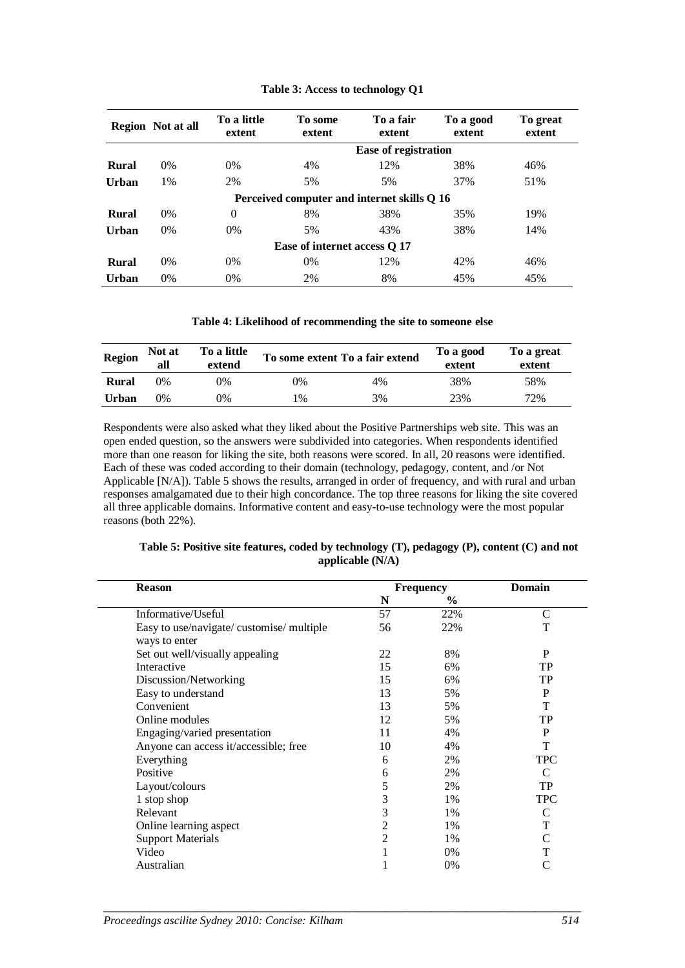|                              | <b>Region</b> Not at all | To a little<br>extent | To some<br>extent                           | To a fair<br>extent         | To a good<br>extent | To great<br>extent |
|------------------------------|--------------------------|-----------------------|---------------------------------------------|-----------------------------|---------------------|--------------------|
|                              |                          |                       |                                             | <b>Ease of registration</b> |                     |                    |
| <b>Rural</b>                 | $0\%$                    | $0\%$                 | 4%                                          | 12%                         | 38%                 | 46%                |
| Urban                        | 1%                       | 2%                    | 5%                                          | 5%                          | 37%                 | 51%                |
|                              |                          |                       | Perceived computer and internet skills Q 16 |                             |                     |                    |
| <b>Rural</b>                 | $0\%$                    | $\theta$              | 8%                                          | 38%                         | 35%                 | 19%                |
| Urban                        | $0\%$                    | $0\%$                 | 5%                                          | 43%                         | 38%                 | 14%                |
| Ease of internet access Q 17 |                          |                       |                                             |                             |                     |                    |
| <b>Rural</b>                 | $0\%$                    | $0\%$                 | $0\%$                                       | 12%                         | 42%                 | 46%                |
| Urban                        | $0\%$                    | 0%                    | 2%                                          | 8%                          | 45%                 | 45%                |

#### **Table 3: Access to technology Q1**

**Table 4: Likelihood of recommending the site to someone else**

| Region       | Not at<br>all | To a little<br>extend |               | To some extent To a fair extend | To a good<br>extent | To a great<br>extent |
|--------------|---------------|-----------------------|---------------|---------------------------------|---------------------|----------------------|
| <b>Rural</b> | 0%            | 0%                    | 0%            | 4%                              | 38%                 | 58%                  |
| Urban        | 0%            | 9%                    | $\frac{0}{0}$ | 3%                              | 23%                 | 72%                  |

Respondents were also asked what they liked about the Positive Partnerships web site. This was an open ended question, so the answers were subdivided into categories. When respondents identified more than one reason for liking the site, both reasons were scored. In all, 20 reasons were identified. Each of these was coded according to their domain (technology, pedagogy, content, and /or Not Applicable [N/A]). Table 5 shows the results, arranged in order of frequency, and with rural and urban responses amalgamated due to their high concordance. The top three reasons for liking the site covered all three applicable domains. Informative content and easy-to-use technology were the most popular reasons (both 22%).

| Table 5: Positive site features, coded by technology (T), pedagogy (P), content (C) and not |                    |  |  |
|---------------------------------------------------------------------------------------------|--------------------|--|--|
|                                                                                             | applicable $(N/A)$ |  |  |

| <b>Reason</b>                                              |                | <b>Frequency</b> | <b>Domain</b> |  |
|------------------------------------------------------------|----------------|------------------|---------------|--|
|                                                            | N              | $\%$             |               |  |
| Informative/Useful                                         | 57             | 22%              | $\mathsf{C}$  |  |
| Easy to use/navigate/ customise/ multiple<br>ways to enter | 56             | 22%              | т             |  |
| Set out well/visually appealing                            | 22             | 8%               | P             |  |
| Interactive                                                | 15             | 6%               | TP            |  |
| Discussion/Networking                                      | 15             | 6%               | TP            |  |
| Easy to understand                                         | 13             | 5%               | P             |  |
| Convenient                                                 | 13             | 5%               | т             |  |
| Online modules                                             | 12             | 5%               | TP            |  |
| Engaging/varied presentation                               | 11             | 4%               | P             |  |
| Anyone can access it/accessible; free                      | 10             | 4%               | т             |  |
| Everything                                                 | 6              | 2%               | <b>TPC</b>    |  |
| Positive                                                   | 6              | 2%               | C             |  |
| Layout/colours                                             | 5              | 2%               | TP            |  |
| 1 stop shop                                                | 3              | 1%               | <b>TPC</b>    |  |
| Relevant                                                   | 3              | 1%               | C             |  |
| Online learning aspect                                     | 2              | 1%               | т             |  |
| <b>Support Materials</b>                                   | $\overline{2}$ | 1%               | C             |  |
| Video                                                      |                | 0%               | T             |  |
| Australian                                                 |                | 0%               | C             |  |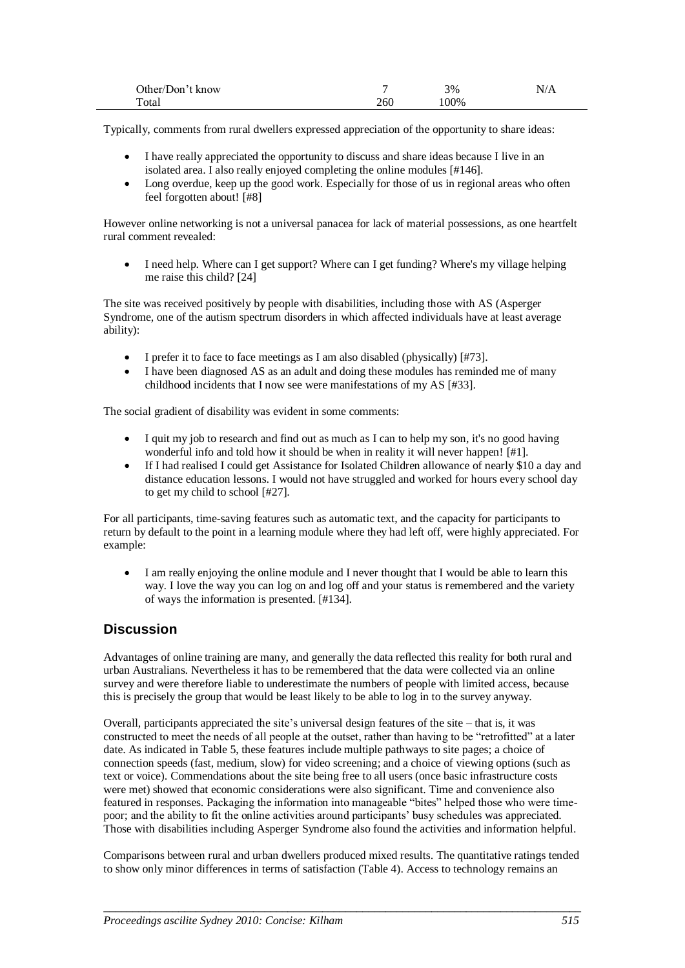| Other/Don't know |     | 3%   | N/A |
|------------------|-----|------|-----|
| Total            | 260 | .00% |     |

Typically, comments from rural dwellers expressed appreciation of the opportunity to share ideas:

- I have really appreciated the opportunity to discuss and share ideas because I live in an isolated area. I also really enjoyed completing the online modules [#146].
- Long overdue, keep up the good work. Especially for those of us in regional areas who often feel forgotten about! [#8]

However online networking is not a universal panacea for lack of material possessions, as one heartfelt rural comment revealed:

 I need help. Where can I get support? Where can I get funding? Where's my village helping me raise this child? [24]

The site was received positively by people with disabilities, including those with AS (Asperger Syndrome, one of the autism spectrum disorders in which affected individuals have at least average ability):

- I prefer it to face to face meetings as I am also disabled (physically) [#73].
- I have been diagnosed AS as an adult and doing these modules has reminded me of many childhood incidents that I now see were manifestations of my AS [#33].

The social gradient of disability was evident in some comments:

- I quit my job to research and find out as much as I can to help my son, it's no good having wonderful info and told how it should be when in reality it will never happen! [#1].
- If I had realised I could get Assistance for Isolated Children allowance of nearly \$10 a day and distance education lessons. I would not have struggled and worked for hours every school day to get my child to school [#27].

For all participants, time-saving features such as automatic text, and the capacity for participants to return by default to the point in a learning module where they had left off, were highly appreciated. For example:

 I am really enjoying the online module and I never thought that I would be able to learn this way. I love the way you can log on and log off and your status is remembered and the variety of ways the information is presented. [#134].

## **Discussion**

Advantages of online training are many, and generally the data reflected this reality for both rural and urban Australians. Nevertheless it has to be remembered that the data were collected via an online survey and were therefore liable to underestimate the numbers of people with limited access, because this is precisely the group that would be least likely to be able to log in to the survey anyway.

Overall, participants appreciated the site's universal design features of the site – that is, it was constructed to meet the needs of all people at the outset, rather than having to be "retrofitted" at a later date. As indicated in Table 5, these features include multiple pathways to site pages; a choice of connection speeds (fast, medium, slow) for video screening; and a choice of viewing options (such as text or voice). Commendations about the site being free to all users (once basic infrastructure costs were met) showed that economic considerations were also significant. Time and convenience also featured in responses. Packaging the information into manageable "bites" helped those who were timepoor; and the ability to fit the online activities around participants' busy schedules was appreciated. Those with disabilities including Asperger Syndrome also found the activities and information helpful.

Comparisons between rural and urban dwellers produced mixed results. The quantitative ratings tended to show only minor differences in terms of satisfaction (Table 4). Access to technology remains an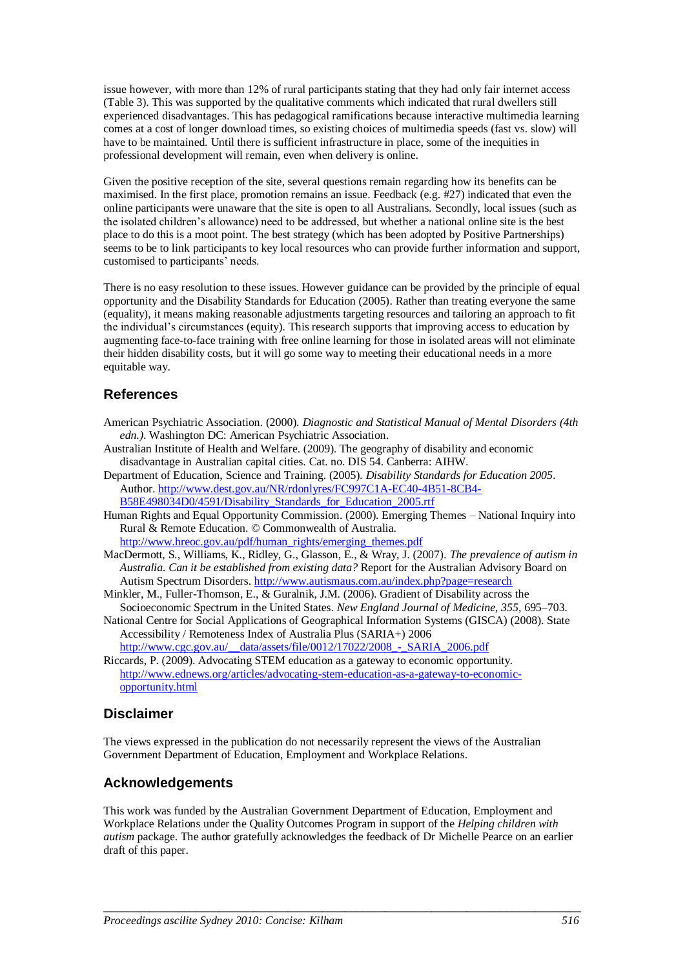issue however, with more than 12% of rural participants stating that they had only fair internet access (Table 3). This was supported by the qualitative comments which indicated that rural dwellers still experienced disadvantages. This has pedagogical ramifications because interactive multimedia learning comes at a cost of longer download times, so existing choices of multimedia speeds (fast vs. slow) will have to be maintained. Until there is sufficient infrastructure in place, some of the inequities in professional development will remain, even when delivery is online.

Given the positive reception of the site, several questions remain regarding how its benefits can be maximised. In the first place, promotion remains an issue. Feedback (e.g. #27) indicated that even the online participants were unaware that the site is open to all Australians. Secondly, local issues (such as the isolated children's allowance) need to be addressed, but whether a national online site is the best place to do this is a moot point. The best strategy (which has been adopted by Positive Partnerships) seems to be to link participants to key local resources who can provide further information and support, customised to participants' needs.

There is no easy resolution to these issues. However guidance can be provided by the principle of equal opportunity and the Disability Standards for Education (2005). Rather than treating everyone the same (equality), it means making reasonable adjustments targeting resources and tailoring an approach to fit the individual's circumstances (equity). This research supports that improving access to education by augmenting face-to-face training with free online learning for those in isolated areas will not eliminate their hidden disability costs, but it will go some way to meeting their educational needs in a more equitable way.

## **References**

- American Psychiatric Association. (2000). *Diagnostic and Statistical Manual of Mental Disorders (4th edn.)*. Washington DC: American Psychiatric Association.
- Australian Institute of Health and Welfare. (2009). The geography of disability and economic disadvantage in Australian capital cities. Cat. no. DIS 54. Canberra: AIHW.
- Department of Education, Science and Training. (2005). *Disability Standards for Education 2005*. Author[. http://www.dest.gov.au/NR/rdonlyres/FC997C1A-EC40-4B51-8CB4-](http://www.dest.gov.au/NR/rdonlyres/FC997C1A-EC40-4B51-8CB4-B58E498034D0/4591/Disability_Standards_for_Education_2005.rtf) [B58E498034D0/4591/Disability\\_Standards\\_for\\_Education\\_2005.rtf](http://www.dest.gov.au/NR/rdonlyres/FC997C1A-EC40-4B51-8CB4-B58E498034D0/4591/Disability_Standards_for_Education_2005.rtf)
- Human Rights and Equal Opportunity Commission. (2000). Emerging Themes National Inquiry into Rural & Remote Education. © Commonwealth of Australia.

[http://www.hreoc.gov.au/pdf/human\\_rights/emerging\\_themes.pdf](http://www.hreoc.gov.au/pdf/human_rights/emerging_themes.pdf)

- MacDermott, S., Williams, K., Ridley, G., Glasson, E., & Wray, J. (2007). *The prevalence of autism in Australia. Can it be established from existing data?* Report for the Australian Advisory Board on Autism Spectrum Disorders.<http://www.autismaus.com.au/index.php?page=research>
- Minkler, M., Fuller-Thomson, E., & Guralnik, J.M. (2006). Gradient of Disability across the Socioeconomic Spectrum in the United States. *New England Journal of Medicine, 355,* 695–703.
- National Centre for Social Applications of Geographical Information Systems (GISCA) (2008). State Accessibility / Remoteness Index of Australia Plus (SARIA+) 2006 http://www.cgc.gov.au/\_\_data/assets/file/0012/17022/2008\_-\_SARIA\_2006.pdf
- Riccards, P. (2009). Advocating STEM education as a gateway to economic opportunity. [http://www.ednews.org/articles/advocating-stem-education-as-a-gateway-to-economic](http://www.ednews.org/articles/advocating-stem-education-as-a-gateway-to-economic-opportunity.html)[opportunity.html](http://www.ednews.org/articles/advocating-stem-education-as-a-gateway-to-economic-opportunity.html)

## **Disclaimer**

The views expressed in the publication do not necessarily represent the views of the Australian Government Department of Education, Employment and Workplace Relations.

## **Acknowledgements**

This work was funded by the Australian Government Department of Education, Employment and Workplace Relations under the Quality Outcomes Program in support of the *Helping children with autism* package. The author gratefully acknowledges the feedback of Dr Michelle Pearce on an earlier draft of this paper.